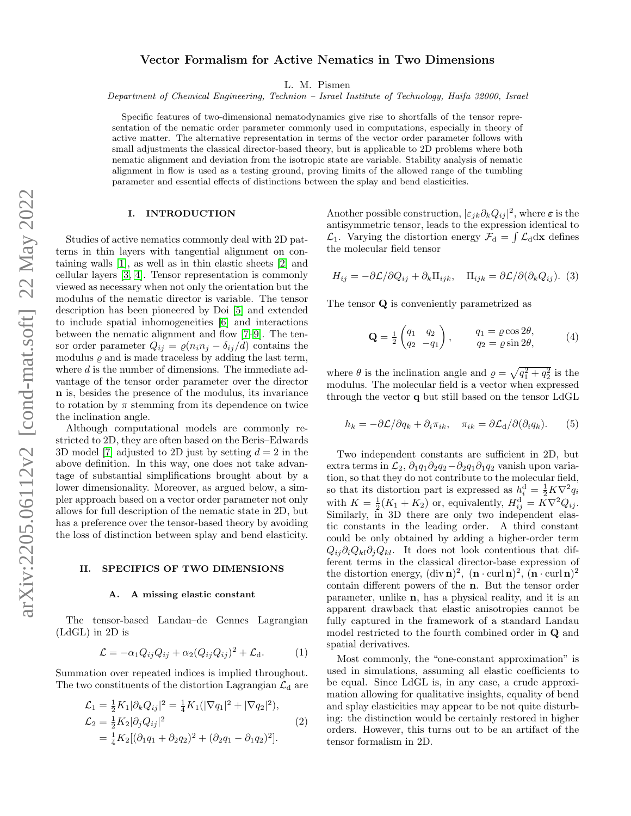# Vector Formalism for Active Nematics in Two Dimensions

L. M. Pismen

Department of Chemical Engineering, Technion – Israel Institute of Technology, Haifa 32000, Israel

Specific features of two-dimensional nematodynamics give rise to shortfalls of the tensor representation of the nematic order parameter commonly used in computations, especially in theory of active matter. The alternative representation in terms of the vector order parameter follows with small adjustments the classical director-based theory, but is applicable to 2D problems where both nematic alignment and deviation from the isotropic state are variable. Stability analysis of nematic alignment in flow is used as a testing ground, proving limits of the allowed range of the tumbling parameter and essential effects of distinctions between the splay and bend elasticities.

### I. INTRODUCTION

Studies of active nematics commonly deal with 2D patterns in thin layers with tangential alignment on containing walls [\[1\]](#page-3-0), as well as in thin elastic sheets [\[2\]](#page-3-1) and cellular layers [\[3,](#page-4-0) [4\]](#page-4-1). Tensor representation is commonly viewed as necessary when not only the orientation but the modulus of the nematic director is variable. The tensor description has been pioneered by Doi [\[5\]](#page-4-2) and extended to include spatial inhomogeneities [\[6\]](#page-4-3) and interactions between the nematic alignment and flow [\[7](#page-4-4)[–9\]](#page-4-5). The tensor order parameter  $Q_{ij} = \rho(n_i n_j - \delta_{ij}/d)$  contains the modulus  $\rho$  and is made traceless by adding the last term, where d is the number of dimensions. The immediate advantage of the tensor order parameter over the director n is, besides the presence of the modulus, its invariance to rotation by  $\pi$  stemming from its dependence on twice the inclination angle.

Although computational models are commonly restricted to 2D, they are often based on the Beris–Edwards 3D model [\[7\]](#page-4-4) adjusted to 2D just by setting  $d = 2$  in the above definition. In this way, one does not take advantage of substantial simplifications brought about by a lower dimensionality. Moreover, as argued below, a simpler approach based on a vector order parameter not only allows for full description of the nematic state in 2D, but has a preference over the tensor-based theory by avoiding the loss of distinction between splay and bend elasticity.

### II. SPECIFICS OF TWO DIMENSIONS

#### A. A missing elastic constant

The tensor-based Landau–de Gennes Lagrangian (LdGL) in 2D is

$$
\mathcal{L} = -\alpha_1 Q_{ij} Q_{ij} + \alpha_2 (Q_{ij} Q_{ij})^2 + \mathcal{L}_d.
$$
 (1)

Summation over repeated indices is implied throughout. The two constituents of the distortion Lagrangian  $\mathcal{L}_{d}$  are

$$
\mathcal{L}_1 = \frac{1}{2} K_1 |\partial_k Q_{ij}|^2 = \frac{1}{4} K_1 (|\nabla q_1|^2 + |\nabla q_2|^2),
$$
  
\n
$$
\mathcal{L}_2 = \frac{1}{2} K_2 |\partial_j Q_{ij}|^2
$$
  
\n
$$
= \frac{1}{4} K_2 [(\partial_1 q_1 + \partial_2 q_2)^2 + (\partial_2 q_1 - \partial_1 q_2)^2].
$$
\n(2)

Another possible construction,  $|\varepsilon_{jk}\partial_kQ_{ij}|^2$ , where  $\varepsilon$  is the antisymmetric tensor, leads to the expression identical to  $\mathcal{L}_1$ . Varying the distortion energy  $\mathcal{F}_d = \int \mathcal{L}_d d\mathbf{x}$  defines the molecular field tensor

$$
H_{ij} = -\partial \mathcal{L}/\partial Q_{ij} + \partial_k \Pi_{ijk}, \quad \Pi_{ijk} = \partial \mathcal{L}/\partial (\partial_k Q_{ij}).
$$
 (3)

The tensor Q is conveniently parametrized as

$$
\mathbf{Q} = \frac{1}{2} \begin{pmatrix} q_1 & q_2 \\ q_2 & -q_1 \end{pmatrix}, \qquad \begin{array}{c} q_1 = \varrho \cos 2\theta, \\ q_2 = \varrho \sin 2\theta, \end{array} \tag{4}
$$

where  $\theta$  is the inclination angle and  $\rho = \sqrt{q_1^2 + q_2^2}$  is the modulus. The molecular field is a vector when expressed through the vector q but still based on the tensor LdGL

<span id="page-0-0"></span>
$$
h_k = -\partial \mathcal{L}/\partial q_k + \partial_i \pi_{ik}, \quad \pi_{ik} = \partial \mathcal{L}_{\mathrm{d}}/\partial (\partial_i q_k). \tag{5}
$$

Two independent constants are sufficient in 2D, but extra terms in  $\mathcal{L}_2$ ,  $\partial_1 q_1 \partial_2 q_2 - \partial_2 q_1 \partial_1 q_2$  vanish upon variation, so that they do not contribute to the molecular field, so that its distortion part is expressed as  $h_i^d = \frac{1}{2} K \nabla^2 q_i$ with  $K = \frac{1}{2}(K_1 + K_2)$  or, equivalently,  $H_{ij}^d = K\nabla^2 Q_{ij}$ . Similarly, in 3D there are only two independent elastic constants in the leading order. A third constant could be only obtained by adding a higher-order term  $Q_{ij}\partial_iQ_{kl}\partial_jQ_{kl}$ . It does not look contentious that different terms in the classical director-base expression of the distortion energy,  $(\text{div }\mathbf{n})^2$ ,  $(\mathbf{n} \cdot \text{curl }\mathbf{n})^2$ ,  $(\mathbf{n} \cdot \text{curl }\mathbf{n})^2$ contain different powers of the n. But the tensor order parameter, unlike n, has a physical reality, and it is an apparent drawback that elastic anisotropies cannot be fully captured in the framework of a standard Landau model restricted to the fourth combined order in Q and spatial derivatives.

Most commonly, the "one-constant approximation" is used in simulations, assuming all elastic coefficients to be equal. Since LdGL is, in any case, a crude approximation allowing for qualitative insights, equality of bend and splay elasticities may appear to be not quite disturbing: the distinction would be certainly restored in higher orders. However, this turns out to be an artifact of the tensor formalism in 2D.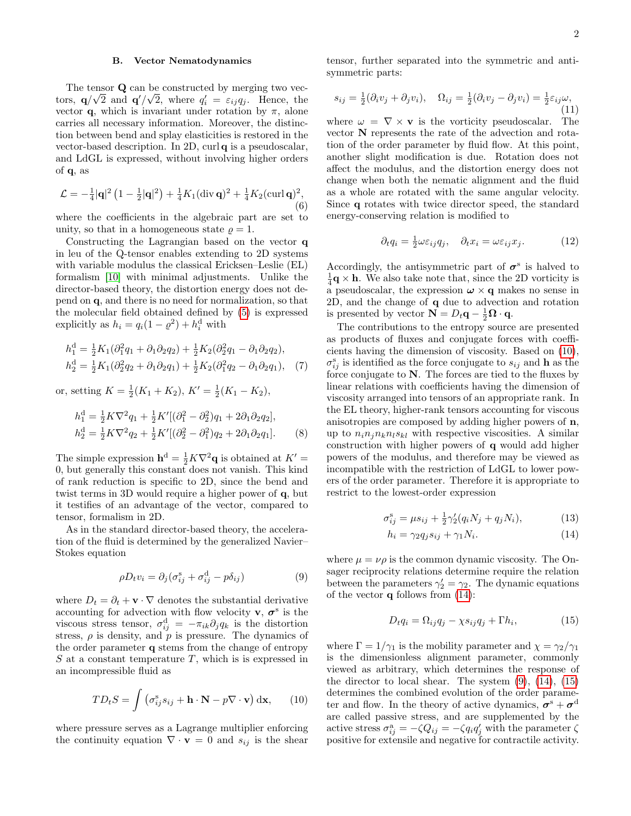### B. Vector Nematodynamics

The tensor **Q** can be constructed by merging two vectors,  $\mathbf{q}/\sqrt{2}$  and  $\mathbf{q}'/\sqrt{2}$ , where  $q'_i = \varepsilon_{ij} q_j$ . Hence, the vector **q**, which is invariant under rotation by  $\pi$ , alone carries all necessary information. Moreover, the distinction between bend and splay elasticities is restored in the vector-based description. In 2D, curl q is a pseudoscalar, and LdGL is expressed, without involving higher orders of q, as

$$
\mathcal{L} = -\frac{1}{4}|\mathbf{q}|^2 \left(1 - \frac{1}{2}|\mathbf{q}|^2\right) + \frac{1}{4}K_1(\text{div}\,\mathbf{q})^2 + \frac{1}{4}K_2(\text{curl}\,\mathbf{q})^2,\tag{6}
$$

where the coefficients in the algebraic part are set to unity, so that in a homogeneous state  $\rho = 1$ .

Constructing the Lagrangian based on the vector q in leu of the Q-tensor enables extending to 2D systems with variable modulus the classical Ericksen–Leslie (EL) formalism [\[10\]](#page-4-6) with minimal adjustments. Unlike the director-based theory, the distortion energy does not depend on q, and there is no need for normalization, so that the molecular field obtained defined by [\(5\)](#page-0-0) is expressed explicitly as  $h_i = q_i(1 - \varrho^2) + h_i^{\text{d}}$  with

$$
h_1^d = \frac{1}{2} K_1 (\partial_1^2 q_1 + \partial_1 \partial_2 q_2) + \frac{1}{2} K_2 (\partial_2^2 q_1 - \partial_1 \partial_2 q_2),
$$
  
\n
$$
h_2^d = \frac{1}{2} K_1 (\partial_2^2 q_2 + \partial_1 \partial_2 q_1) + \frac{1}{2} K_2 (\partial_1^2 q_2 - \partial_1 \partial_2 q_1), \quad (7)
$$

or, setting  $K = \frac{1}{2}(K_1 + K_2), K' = \frac{1}{2}(K_1 - K_2),$ 

$$
h_1^d = \frac{1}{2} K \nabla^2 q_1 + \frac{1}{2} K' [(\partial_1^2 - \partial_2^2) q_1 + 2 \partial_1 \partial_2 q_2],
$$
  
\n
$$
h_2^d = \frac{1}{2} K \nabla^2 q_2 + \frac{1}{2} K' [(\partial_2^2 - \partial_1^2) q_2 + 2 \partial_1 \partial_2 q_1].
$$
 (8)

The simple expression  $\mathbf{h}^d = \frac{1}{2}K\nabla^2\mathbf{q}$  is obtained at  $K' =$ 0, but generally this constant does not vanish. This kind of rank reduction is specific to 2D, since the bend and twist terms in 3D would require a higher power of q, but it testifies of an advantage of the vector, compared to tensor, formalism in 2D.

As in the standard director-based theory, the acceleration of the fluid is determined by the generalized Navier– Stokes equation

<span id="page-1-2"></span>
$$
\rho D_t v_i = \partial_j (\sigma_{ij}^s + \sigma_{ij}^d - p\delta_{ij})
$$
\n(9)

where  $D_t = \partial_t + \mathbf{v} \cdot \nabla$  denotes the substantial derivative accounting for advection with flow velocity **v**,  $\sigma^s$  is the viscous stress tensor,  $\sigma_{ij}^d = -\pi_{ik}\partial_j q_k$  is the distortion stress,  $\rho$  is density, and  $p$  is pressure. The dynamics of the order parameter q stems from the change of entropy  $S$  at a constant temperature  $T$ , which is is expressed in an incompressible fluid as

<span id="page-1-0"></span>
$$
TD_tS = \int \left(\sigma_{ij}^s s_{ij} + \mathbf{h} \cdot \mathbf{N} - p \nabla \cdot \mathbf{v}\right) d\mathbf{x},\qquad(10)
$$

where pressure serves as a Lagrange multiplier enforcing the continuity equation  $\nabla \cdot \mathbf{v} = 0$  and  $s_{ij}$  is the shear

tensor, further separated into the symmetric and antisymmetric parts:

<span id="page-1-4"></span>
$$
s_{ij} = \frac{1}{2}(\partial_i v_j + \partial_j v_i), \quad \Omega_{ij} = \frac{1}{2}(\partial_i v_j - \partial_j v_i) = \frac{1}{2}\varepsilon_{ij}\omega,
$$
\n(11)

where  $\omega = \nabla \times \mathbf{v}$  is the vorticity pseudoscalar. The vector N represents the rate of the advection and rotation of the order parameter by fluid flow. At this point, another slight modification is due. Rotation does not affect the modulus, and the distortion energy does not change when both the nematic alignment and the fluid as a whole are rotated with the same angular velocity. Since q rotates with twice director speed, the standard energy-conserving relation is modified to

$$
\partial_t q_i = \frac{1}{2} \omega \varepsilon_{ij} q_j, \quad \partial_t x_i = \omega \varepsilon_{ij} x_j. \tag{12}
$$

Accordingly, the antisymmetric part of  $\sigma^s$  is halved to  $\frac{1}{4}\mathbf{q} \times \mathbf{h}$ . We also take note that, since the 2D vorticity is a pseudoscalar, the expression  $\boldsymbol{\omega} \times \mathbf{q}$  makes no sense in 2D, and the change of q due to advection and rotation is presented by vector  $\mathbf{N} = D_t \mathbf{q} - \frac{1}{2} \mathbf{\Omega} \cdot \mathbf{q}$ .

The contributions to the entropy source are presented as products of fluxes and conjugate forces with coefficients having the dimension of viscosity. Based on [\(10\)](#page-1-0),  $\sigma_{ij}^s$  is identified as the force conjugate to  $s_{ij}$  and **h** as the force conjugate to N. The forces are tied to the fluxes by linear relations with coefficients having the dimension of viscosity arranged into tensors of an appropriate rank. In the EL theory, higher-rank tensors accounting for viscous anisotropies are composed by adding higher powers of n, up to  $n_i n_j n_k n_l s_{kl}$  with respective viscosities. A similar construction with higher powers of q would add higher powers of the modulus, and therefore may be viewed as incompatible with the restriction of LdGL to lower powers of the order parameter. Therefore it is appropriate to restrict to the lowest-order expression

$$
\sigma_{ij}^{\rm s} = \mu s_{ij} + \frac{1}{2} \gamma_2' (q_i N_j + q_j N_i), \qquad (13)
$$

<span id="page-1-1"></span>
$$
h_i = \gamma_2 q_j s_{ij} + \gamma_1 N_i. \tag{14}
$$

where  $\mu = \nu \rho$  is the common dynamic viscosity. The Onsager reciprocity relations determine require the relation between the parameters  $\gamma'_2 = \gamma_2$ . The dynamic equations of the vector  $q$  follows from  $(14)$ :

<span id="page-1-3"></span>
$$
D_t q_i = \Omega_{ij} q_j - \chi s_{ij} q_j + \Gamma h_i, \qquad (15)
$$

where  $\Gamma = 1/\gamma_1$  is the mobility parameter and  $\chi = \gamma_2/\gamma_1$ is the dimensionless alignment parameter, commonly viewed as arbitrary, which determines the response of the director to local shear. The system  $(9)$ ,  $(14)$ ,  $(15)$ determines the combined evolution of the order parameter and flow. In the theory of active dynamics,  $\boldsymbol{\sigma}^{\rm s} + \boldsymbol{\sigma}^{\rm d}$ are called passive stress, and are supplemented by the active stress  $\sigma_{ij}^{\rm a} = -\zeta Q_{ij} = -\zeta q_i q_j'$  with the parameter  $\zeta$ positive for extensile and negative for contractile activity.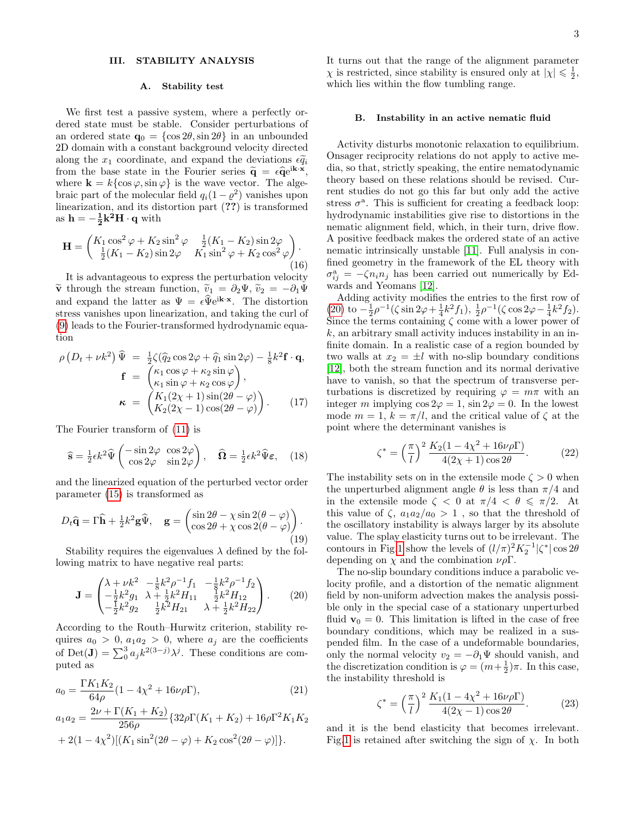### III. STABILITY ANALYSIS

#### A. Stability test

We first test a passive system, where a perfectly ordered state must be stable. Consider perturbations of an ordered state  $\mathbf{q}_0 = {\cos 2\theta, \sin 2\theta}$  in an unbounded 2D domain with a constant background velocity directed along the  $x_1$  coordinate, and expand the deviations  $\epsilon \widetilde{q}_i$ from the base state in the Fourier series  $\tilde{\mathbf{q}} = \epsilon \hat{\mathbf{q}} e^{i \mathbf{k} \cdot \mathbf{x}}$ , where  $\mathbf{k} = k \{ \cos \varphi, \sin \varphi \}$  is the wave vector. The algebraic part of the molecular field  $q_i(1-\varrho^2)$  vanishes upon linearization, and its distortion part (??) is transformed as  $h = -\frac{1}{2}k^2H \cdot q$  with

$$
\mathbf{H} = \begin{pmatrix} K_1 \cos^2 \varphi + K_2 \sin^2 \varphi & \frac{1}{2}(K_1 - K_2) \sin 2\varphi \\ \frac{1}{2}(K_1 - K_2) \sin 2\varphi & K_1 \sin^2 \varphi + K_2 \cos^2 \varphi \end{pmatrix} .
$$
\n(16)

It is advantageous to express the perturbation velocity  $\tilde{\mathbf{v}}$  through the stream function,  $\tilde{v}_1 = \partial_2 \Psi, \tilde{v}_2 = -\partial_1 \Psi$ and expand the latter as  $\Psi = \epsilon \widehat{\Psi} e^{i\mathbf{k} \cdot \mathbf{x}}$ . The distortion stress vanishes upon linearization, and taking the curl of [\(9\)](#page-1-2) leads to the Fourier-transformed hydrodynamic equation

<span id="page-2-1"></span>
$$
\rho \left( D_t + \nu k^2 \right) \widehat{\Psi} = \frac{1}{2} \zeta (\widehat{q}_2 \cos 2\varphi + \widehat{q}_1 \sin 2\varphi) - \frac{1}{8} k^2 \mathbf{f} \cdot \mathbf{q},
$$

$$
\mathbf{f} = \begin{pmatrix} \kappa_1 \cos \varphi + \kappa_2 \sin \varphi \\ \kappa_1 \sin \varphi + \kappa_2 \cos \varphi \end{pmatrix},
$$

$$
\boldsymbol{\kappa} = \begin{pmatrix} K_1 (2\chi + 1) \sin(2\theta - \varphi) \\ K_2 (2\chi - 1) \cos(2\theta - \varphi) \end{pmatrix}.
$$
(17)

The Fourier transform of [\(11\)](#page-1-4) is

$$
\widehat{\mathbf{s}} = \frac{1}{2} \epsilon k^2 \widehat{\Psi} \begin{pmatrix} -\sin 2\varphi & \cos 2\varphi \\ \cos 2\varphi & \sin 2\varphi \end{pmatrix}, \quad \widehat{\mathbf{\Omega}} = \frac{1}{2} \epsilon k^2 \widehat{\Psi} \varepsilon, \quad (18)
$$

and the linearized equation of the perturbed vector order parameter [\(15\)](#page-1-3) is transformed as

$$
D_t \hat{\mathbf{q}} = \Gamma \hat{\mathbf{h}} + \frac{1}{2} k^2 \mathbf{g} \hat{\Psi}, \quad \mathbf{g} = \begin{pmatrix} \sin 2\theta - \chi \sin 2(\theta - \varphi) \\ \cos 2\theta + \chi \cos 2(\theta - \varphi) \end{pmatrix}.
$$
\n(19)

Stability requires the eigenvalues  $\lambda$  defined by the following matrix to have negative real parts:

<span id="page-2-0"></span>
$$
\mathbf{J} = \begin{pmatrix} \lambda + \nu k^2 & -\frac{1}{8}k^2 \rho^{-1} f_1 & -\frac{1}{8}k^2 \rho^{-1} f_2 \\ -\frac{1}{2}k^2 g_1 & \lambda + \frac{1}{2}k^2 H_{11} & \frac{1}{2}k^2 H_{12} \\ -\frac{1}{2}k^2 g_2 & \frac{1}{2}k^2 H_{21} & \lambda + \frac{1}{2}k^2 H_{22} \end{pmatrix} . \tag{20}
$$

According to the Routh–Hurwitz criterion, stability requires  $a_0 > 0$ ,  $a_1 a_2 > 0$ , where  $a_j$  are the coefficients of Det(**J**) =  $\sum_{0}^{3} a_j k^{2(3-j)} \lambda^j$ . These conditions are computed as

$$
a_0 = \frac{\Gamma K_1 K_2}{64\rho} (1 - 4\chi^2 + 16\nu\rho \Gamma),
$$
\n(21)

$$
a_1 a_2 = \frac{2\nu + \Gamma(K_1 + K_2)}{256\rho} \{32\rho \Gamma(K_1 + K_2) + 16\rho \Gamma^2 K_1 K_2 + 2(1 - 4\chi^2)[(K_1 \sin^2(2\theta - \varphi) + K_2 \cos^2(2\theta - \varphi)]\}.
$$

It turns out that the range of the alignment parameter  $\chi$  is restricted, since stability is ensured only at  $|\chi| \leq 1/2$ , which lies within the flow tumbling range.

# B. Instability in an active nematic fluid

Activity disturbs monotonic relaxation to equilibrium. Onsager reciprocity relations do not apply to active media, so that, strictly speaking, the entire nematodynamic theory based on these relations should be revised. Current studies do not go this far but only add the active stress  $\sigma^a$ . This is sufficient for creating a feedback loop: hydrodynamic instabilities give rise to distortions in the nematic alignment field, which, in their turn, drive flow. A positive feedback makes the ordered state of an active nematic intrinsically unstable [\[11\]](#page-4-7). Full analysis in confined geometry in the framework of the EL theory with  $\sigma_{ij}^{\rm a} = -\zeta n_i n_j$  has been carried out numerically by Edwards and Yeomans [\[12\]](#page-4-8).

Adding activity modifies the entries to the first row of [\(20\)](#page-2-0) to  $-\frac{1}{2}\rho^{-1}(\zeta \sin 2\varphi + \frac{1}{4}k^2f_1), \frac{1}{2}\rho^{-1}(\zeta \cos 2\varphi - \frac{1}{4}k^2f_2).$ Since the terms containing  $\zeta$  come with a lower power of  $k$ , an arbitrary small activity induces instability in an infinite domain. In a realistic case of a region bounded by two walls at  $x_2 = \pm l$  with no-slip boundary conditions [\[12\]](#page-4-8), both the stream function and its normal derivative have to vanish, so that the spectrum of transverse perturbations is discretized by requiring  $\varphi = m\pi$  with an integer m implying  $\cos 2\varphi = 1$ ,  $\sin 2\varphi = 0$ . In the lowest mode  $m = 1$ ,  $k = \pi/l$ , and the critical value of  $\zeta$  at the point where the determinant vanishes is

$$
\zeta^* = \left(\frac{\pi}{l}\right)^2 \frac{K_2(1 - 4\chi^2 + 16\nu\rho\Gamma)}{4(2\chi + 1)\cos 2\theta}.
$$
 (22)

The instability sets on in the extensile mode  $\zeta > 0$  when the unperturbed alignment angle  $\theta$  is less than  $\pi/4$  and in the extensile mode  $\zeta < 0$  at  $\pi/4 < \theta \le \pi/2$ . At this value of  $\zeta$ ,  $a_1 a_2/a_0 > 1$ , so that the threshold of the oscillatory instability is always larger by its absolute value. The splay elasticity turns out to be irrelevant. The contours in Fig[.1](#page-3-2) show the levels of  $(l/\pi)^2 K_2^{-1} |\zeta^*| \cos 2\theta$ depending on  $\chi$  and the combination  $\nu \rho \Gamma$ .

The no-slip boundary conditions induce a parabolic velocity profile, and a distortion of the nematic alignment field by non-uniform advection makes the analysis possible only in the special case of a stationary unperturbed fluid  $\mathbf{v}_0 = 0$ . This limitation is lifted in the case of free boundary conditions, which may be realized in a suspended film. In the case of a undeformable boundaries, only the normal velocity  $v_2 = -\partial_1 \Psi$  should vanish, and the discretization condition is  $\varphi = (m + \frac{1}{2})\pi$ . In this case, the instability threshold is

$$
\zeta^* = \left(\frac{\pi}{l}\right)^2 \frac{K_1(1 - 4\chi^2 + 16\nu\rho\Gamma)}{4(2\chi - 1)\cos 2\theta}.
$$
 (23)

and it is the bend elasticity that becomes irrelevant. Fig[.1](#page-3-2) is retained after switching the sign of  $\chi$ . In both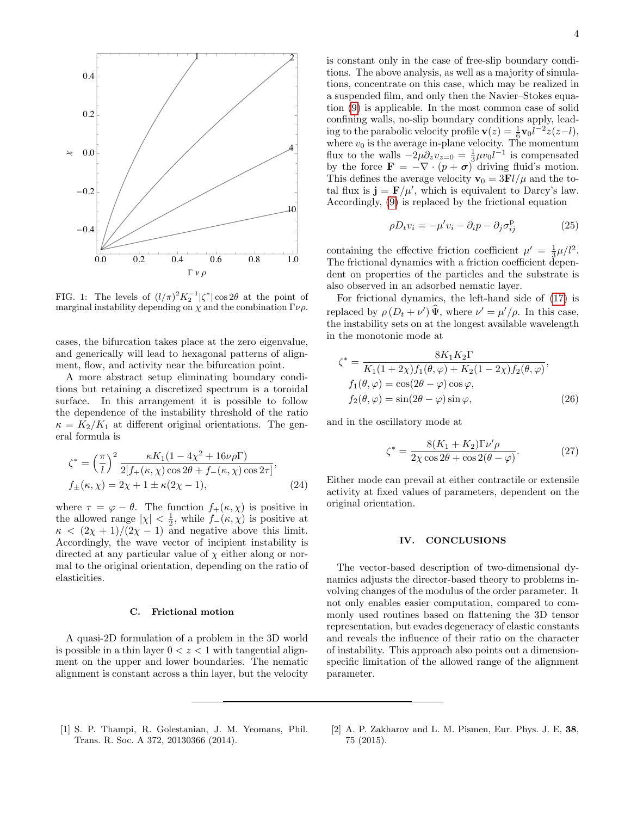

<span id="page-3-2"></span>FIG. 1: The levels of  $(l/\pi)^2 K_2^{-1} |\zeta^*| \cos 2\theta$  at the point of marginal instability depending on  $\chi$  and the combination  $\Gamma \nu \rho$ .

cases, the bifurcation takes place at the zero eigenvalue, and generically will lead to hexagonal patterns of alignment, flow, and activity near the bifurcation point.

A more abstract setup eliminating boundary conditions but retaining a discretized spectrum is a toroidal surface. In this arrangement it is possible to follow the dependence of the instability threshold of the ratio  $\kappa = K_2/K_1$  at different original orientations. The general formula is

$$
\zeta^* = \left(\frac{\pi}{l}\right)^2 \frac{\kappa K_1 (1 - 4\chi^2 + 16\nu\rho\Gamma)}{2[f_+(\kappa,\chi)\cos 2\theta + f_-(\kappa,\chi)\cos 2\tau]},
$$
  
\n
$$
f_{\pm}(\kappa,\chi) = 2\chi + 1 \pm \kappa (2\chi - 1),
$$
\n(24)

where  $\tau = \varphi - \theta$ . The function  $f_+(\kappa, \chi)$  is positive in the allowed range  $|\chi| < \frac{1}{2}$ , while  $f_-(\kappa, \chi)$  is positive at  $\kappa < (2\chi + 1)/(2\chi - 1)$  and negative above this limit. Accordingly, the wave vector of incipient instability is directed at any particular value of  $\chi$  either along or normal to the original orientation, depending on the ratio of elasticities.

# C. Frictional motion

A quasi-2D formulation of a problem in the 3D world is possible in a thin layer  $0 < z < 1$  with tangential alignment on the upper and lower boundaries. The nematic alignment is constant across a thin layer, but the velocity

is constant only in the case of free-slip boundary conditions. The above analysis, as well as a majority of simulations, concentrate on this case, which may be realized in a suspended film, and only then the Navier–Stokes equation [\(9\)](#page-1-2) is applicable. In the most common case of solid confining walls, no-slip boundary conditions apply, leading to the parabolic velocity profile  $\mathbf{v}(z) = \frac{1}{6} \mathbf{v}_0 \overline{l^{-2}} z(z-l)$ , where  $v_0$  is the average in-plane velocity. The momentum flux to the walls  $-2\mu\partial_z v_{z=0} = \frac{1}{3}\mu v_0 l^{-1}$  is compensated by the force  $\mathbf{F} = -\nabla \cdot (p + \boldsymbol{\sigma})$  driving fluid's motion. This defines the average velocity  $\mathbf{v}_0 = 3\mathbf{F}l/\mu$  and the total flux is  $\mathbf{j} = \mathbf{F}/\mu'$ , which is equivalent to Darcy's law. Accordingly, [\(9\)](#page-1-2) is replaced by the frictional equation

$$
\rho D_t v_i = -\mu' v_i - \partial_i p - \partial_j \sigma_{ij}^{\mathrm{P}} \tag{25}
$$

containing the effective friction coefficient  $\mu' = \frac{1}{3}\mu/l^2$ . The frictional dynamics with a friction coefficient dependent on properties of the particles and the substrate is also observed in an adsorbed nematic layer.

For frictional dynamics, the left-hand side of [\(17\)](#page-2-1) is replaced by  $\rho(D_t + \nu')\hat{\Psi}$ , where  $\nu' = \mu'/\rho$ . In this case, the instability sets on at the longest available wavelength in the monotonic mode at

$$
\zeta^* = \frac{8K_1K_2\Gamma}{K_1(1+2\chi)f_1(\theta,\varphi) + K_2(1-2\chi)f_2(\theta,\varphi)},
$$
  
\n
$$
f_1(\theta,\varphi) = \cos(2\theta - \varphi)\cos\varphi,
$$
  
\n
$$
f_2(\theta,\varphi) = \sin(2\theta - \varphi)\sin\varphi,
$$
 (26)

and in the oscillatory mode at

$$
\zeta^* = \frac{8(K_1 + K_2)\Gamma\nu'\rho}{2\chi\cos 2\theta + \cos 2(\theta - \varphi)}.\tag{27}
$$

Either mode can prevail at either contractile or extensile activity at fixed values of parameters, dependent on the original orientation.

#### IV. CONCLUSIONS

The vector-based description of two-dimensional dynamics adjusts the director-based theory to problems involving changes of the modulus of the order parameter. It not only enables easier computation, compared to commonly used routines based on flattening the 3D tensor representation, but evades degeneracy of elastic constants and reveals the influence of their ratio on the character of instability. This approach also points out a dimensionspecific limitation of the allowed range of the alignment parameter.

- <span id="page-3-0"></span>[1] S. P. Thampi, R. Golestanian, J. M. Yeomans, Phil. Trans. R. Soc. A 372, 20130366 (2014).
- <span id="page-3-1"></span>[2] A. P. Zakharov and L. M. Pismen, Eur. Phys. J. E, 38, 75 (2015).